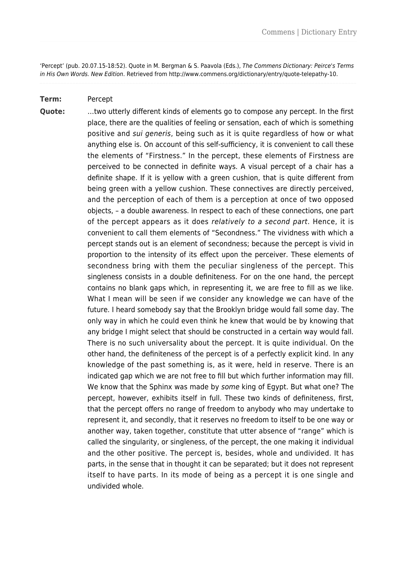'Percept' (pub. 20.07.15-18:52). Quote in M. Bergman & S. Paavola (Eds.), The Commens Dictionary: Peirce's Terms in His Own Words. New Edition. Retrieved from http://www.commens.org/dictionary/entry/quote-telepathy-10.

## **Term:** Percept

**Quote:** …two utterly different kinds of elements go to compose any percept. In the first place, there are the qualities of feeling or sensation, each of which is something positive and sui generis, being such as it is quite regardless of how or what anything else is. On account of this self-sufficiency, it is convenient to call these the elements of "Firstness." In the percept, these elements of Firstness are perceived to be connected in definite ways. A visual percept of a chair has a definite shape. If it is yellow with a green cushion, that is quite different from being green with a yellow cushion. These connectives are directly perceived, and the perception of each of them is a perception at once of two opposed objects, – a double awareness. In respect to each of these connections, one part of the percept appears as it does relatively to a second part. Hence, it is convenient to call them elements of "Secondness." The vividness with which a percept stands out is an element of secondness; because the percept is vivid in proportion to the intensity of its effect upon the perceiver. These elements of secondness bring with them the peculiar singleness of the percept. This singleness consists in a double definiteness. For on the one hand, the percept contains no blank gaps which, in representing it, we are free to fill as we like. What I mean will be seen if we consider any knowledge we can have of the future. I heard somebody say that the Brooklyn bridge would fall some day. The only way in which he could even think he knew that would be by knowing that any bridge I might select that should be constructed in a certain way would fall. There is no such universality about the percept. It is quite individual. On the other hand, the definiteness of the percept is of a perfectly explicit kind. In any knowledge of the past something is, as it were, held in reserve. There is an indicated gap which we are not free to fill but which further information may fill. We know that the Sphinx was made by some king of Egypt. But what one? The percept, however, exhibits itself in full. These two kinds of definiteness, first, that the percept offers no range of freedom to anybody who may undertake to represent it, and secondly, that it reserves no freedom to itself to be one way or another way, taken together, constitute that utter absence of "range" which is called the singularity, or singleness, of the percept, the one making it individual and the other positive. The percept is, besides, whole and undivided. It has parts, in the sense that in thought it can be separated; but it does not represent itself to have parts. In its mode of being as a percept it is one single and undivided whole.